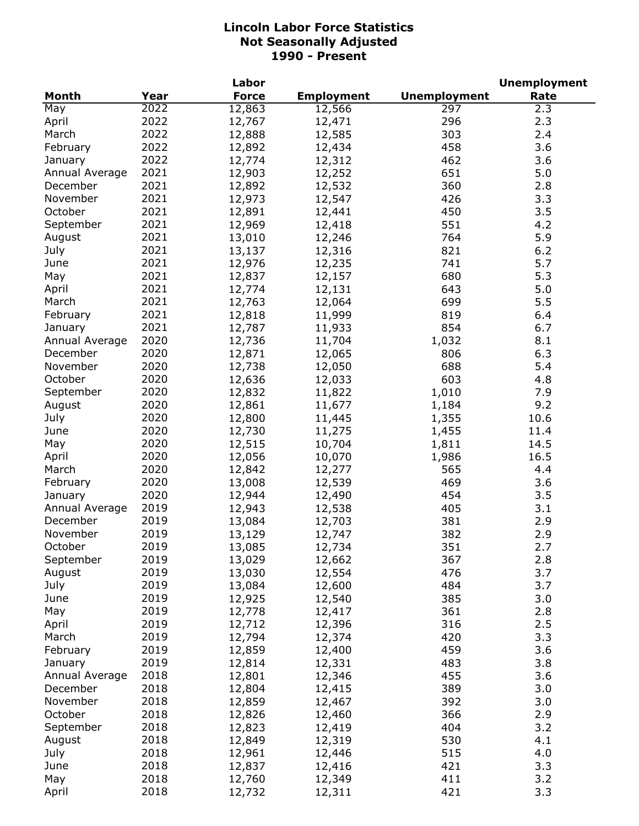|                |      | Labor        |                   |                     | <b>Unemployment</b> |
|----------------|------|--------------|-------------------|---------------------|---------------------|
| <b>Month</b>   | Year | <b>Force</b> | <b>Employment</b> | <b>Unemployment</b> | Rate                |
| May            | 2022 | 12,863       | 12,566            | 297                 | 2.3                 |
| April          | 2022 | 12,767       | 12,471            | 296                 | 2.3                 |
| March          | 2022 | 12,888       | 12,585            | 303                 | 2.4                 |
| February       | 2022 | 12,892       | 12,434            | 458                 | 3.6                 |
| January        | 2022 | 12,774       | 12,312            | 462                 | 3.6                 |
| Annual Average | 2021 | 12,903       | 12,252            | 651                 | 5.0                 |
| December       | 2021 | 12,892       | 12,532            | 360                 | 2.8                 |
| November       | 2021 | 12,973       | 12,547            | 426                 | 3.3                 |
| October        | 2021 | 12,891       | 12,441            | 450                 | 3.5                 |
| September      | 2021 | 12,969       | 12,418            | 551                 | 4.2                 |
| August         | 2021 | 13,010       | 12,246            | 764                 | 5.9                 |
| July           | 2021 | 13,137       | 12,316            | 821                 | 6.2                 |
| June           | 2021 | 12,976       | 12,235            | 741                 | 5.7                 |
| May            | 2021 | 12,837       | 12,157            | 680                 | 5.3                 |
| April          | 2021 | 12,774       | 12,131            | 643                 | 5.0                 |
| March          | 2021 | 12,763       | 12,064            | 699                 | 5.5                 |
| February       | 2021 | 12,818       | 11,999            | 819                 | 6.4                 |
| January        | 2021 | 12,787       | 11,933            | 854                 | 6.7                 |
| Annual Average | 2020 | 12,736       | 11,704            | 1,032               | 8.1                 |
| December       | 2020 | 12,871       | 12,065            | 806                 | 6.3                 |
| November       | 2020 | 12,738       | 12,050            | 688                 | 5.4                 |
| October        | 2020 | 12,636       | 12,033            | 603                 | 4.8                 |
| September      | 2020 | 12,832       | 11,822            | 1,010               | 7.9                 |
| August         | 2020 | 12,861       | 11,677            | 1,184               | 9.2                 |
| July           | 2020 | 12,800       | 11,445            | 1,355               | 10.6                |
| June           | 2020 | 12,730       | 11,275            | 1,455               | 11.4                |
| May            | 2020 | 12,515       | 10,704            | 1,811               | 14.5                |
| April          | 2020 | 12,056       | 10,070            | 1,986               | 16.5                |
| March          | 2020 | 12,842       | 12,277            | 565                 | 4.4                 |
| February       | 2020 | 13,008       | 12,539            | 469                 | 3.6                 |
| January        | 2020 | 12,944       | 12,490            | 454                 | 3.5                 |
| Annual Average | 2019 | 12,943       | 12,538            | 405                 | 3.1                 |
| December       | 2019 | 13,084       | 12,703            | 381                 | 2.9                 |
| November       | 2019 | 13,129       | 12,747            | 382                 | 2.9                 |
| October        | 2019 | 13,085       | 12,734            | 351                 | 2.7                 |
| September      | 2019 | 13,029       | 12,662            | 367                 | 2.8                 |
| August         | 2019 | 13,030       | 12,554            | 476                 | 3.7                 |
| July           | 2019 | 13,084       | 12,600            | 484                 | 3.7                 |
| June           | 2019 | 12,925       | 12,540            | 385                 | 3.0                 |
| May            | 2019 | 12,778       | 12,417            | 361                 | 2.8                 |
| April          | 2019 | 12,712       | 12,396            | 316                 | 2.5                 |
| March          | 2019 | 12,794       | 12,374            | 420                 | 3.3                 |
| February       | 2019 | 12,859       | 12,400            | 459                 | 3.6                 |
| January        | 2019 | 12,814       | 12,331            | 483                 | 3.8                 |
| Annual Average | 2018 | 12,801       | 12,346            | 455                 | 3.6                 |
| December       | 2018 | 12,804       | 12,415            | 389                 | 3.0                 |
| November       | 2018 | 12,859       | 12,467            | 392                 | 3.0                 |
| October        | 2018 | 12,826       | 12,460            | 366                 | 2.9                 |
| September      | 2018 | 12,823       | 12,419            | 404                 | 3.2                 |
| August         | 2018 | 12,849       | 12,319            | 530                 | 4.1                 |
| July           | 2018 | 12,961       | 12,446            | 515                 | 4.0                 |
| June           | 2018 | 12,837       | 12,416            | 421                 | 3.3                 |
| May            | 2018 | 12,760       | 12,349            | 411                 | 3.2                 |
| April          | 2018 | 12,732       | 12,311            | 421                 | 3.3                 |
|                |      |              |                   |                     |                     |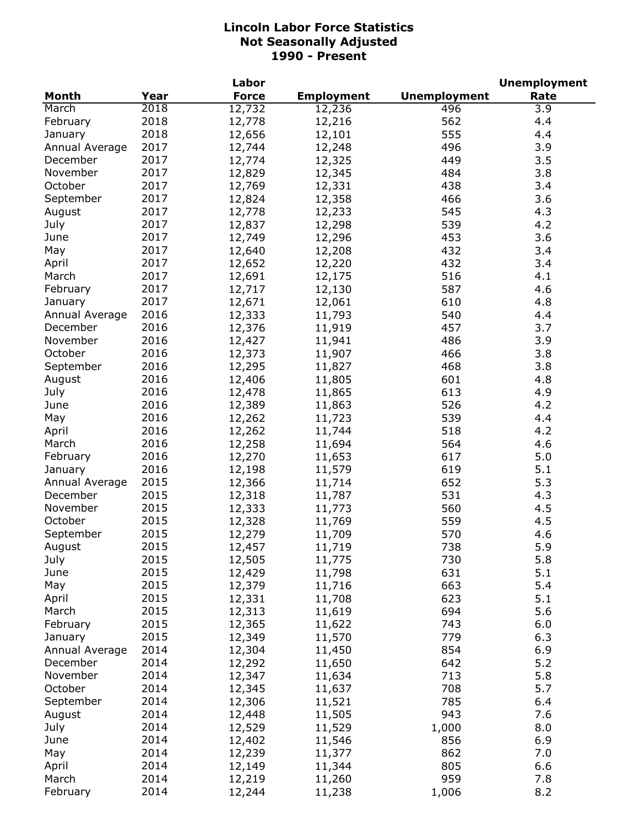|                |      | Labor        |                   |                     | <b>Unemployment</b> |
|----------------|------|--------------|-------------------|---------------------|---------------------|
| <b>Month</b>   | Year | <b>Force</b> | <b>Employment</b> | <b>Unemployment</b> | Rate                |
| March          | 2018 | 12,732       | 12,236            | 496                 | 3.9                 |
| February       | 2018 | 12,778       | 12,216            | 562                 | 4.4                 |
| January        | 2018 | 12,656       | 12,101            | 555                 | 4.4                 |
| Annual Average | 2017 | 12,744       | 12,248            | 496                 | 3.9                 |
| December       | 2017 | 12,774       | 12,325            | 449                 | 3.5                 |
| November       | 2017 | 12,829       | 12,345            | 484                 | 3.8                 |
| October        | 2017 | 12,769       | 12,331            | 438                 | 3.4                 |
| September      | 2017 | 12,824       | 12,358            | 466                 | 3.6                 |
| August         | 2017 | 12,778       | 12,233            | 545                 | 4.3                 |
| July           | 2017 | 12,837       | 12,298            | 539                 | 4.2                 |
| June           | 2017 | 12,749       | 12,296            | 453                 | 3.6                 |
| May            | 2017 | 12,640       | 12,208            | 432                 | 3.4                 |
| April          | 2017 | 12,652       | 12,220            | 432                 | 3.4                 |
| March          | 2017 | 12,691       | 12,175            | 516                 | 4.1                 |
| February       | 2017 | 12,717       | 12,130            | 587                 | 4.6                 |
| January        | 2017 | 12,671       | 12,061            | 610                 | 4.8                 |
| Annual Average | 2016 | 12,333       | 11,793            | 540                 | 4.4                 |
| December       | 2016 | 12,376       | 11,919            | 457                 | 3.7                 |
| November       | 2016 | 12,427       | 11,941            | 486                 | 3.9                 |
| October        | 2016 | 12,373       | 11,907            | 466                 | 3.8                 |
| September      | 2016 | 12,295       | 11,827            | 468                 | 3.8                 |
| August         | 2016 | 12,406       | 11,805            | 601                 | 4.8                 |
| July           | 2016 | 12,478       | 11,865            | 613                 | 4.9                 |
| June           | 2016 | 12,389       | 11,863            | 526                 | 4.2                 |
| May            | 2016 | 12,262       | 11,723            | 539                 | 4.4                 |
| April          | 2016 | 12,262       | 11,744            | 518                 | 4.2                 |
| March          | 2016 | 12,258       | 11,694            | 564                 | 4.6                 |
| February       | 2016 | 12,270       | 11,653            | 617                 | 5.0                 |
| January        | 2016 | 12,198       | 11,579            | 619                 | 5.1                 |
| Annual Average | 2015 | 12,366       | 11,714            | 652                 | 5.3                 |
| December       | 2015 | 12,318       | 11,787            | 531                 | 4.3                 |
| November       | 2015 | 12,333       | 11,773            | 560                 | 4.5                 |
| October        | 2015 | 12,328       | 11,769            | 559                 | 4.5                 |
| September      | 2015 | 12,279       | 11,709            | 570                 | 4.6                 |
| August         | 2015 | 12,457       | 11,719            | 738                 | 5.9                 |
| July           | 2015 | 12,505       | 11,775            | 730                 | 5.8                 |
| June           | 2015 | 12,429       | 11,798            | 631                 | 5.1                 |
| May            | 2015 | 12,379       | 11,716            | 663                 | 5.4                 |
| April          | 2015 | 12,331       | 11,708            | 623                 | 5.1                 |
| March          | 2015 | 12,313       | 11,619            | 694                 | 5.6                 |
| February       | 2015 | 12,365       | 11,622            | 743                 | 6.0                 |
| January        | 2015 | 12,349       | 11,570            | 779                 | 6.3                 |
| Annual Average | 2014 | 12,304       | 11,450            | 854                 | 6.9                 |
| December       | 2014 | 12,292       | 11,650            | 642                 | 5.2                 |
| November       | 2014 | 12,347       | 11,634            | 713                 | 5.8                 |
| October        | 2014 | 12,345       | 11,637            | 708                 | 5.7                 |
| September      | 2014 | 12,306       | 11,521            | 785                 | 6.4                 |
| August         | 2014 | 12,448       | 11,505            | 943                 | 7.6                 |
| July           | 2014 | 12,529       | 11,529            | 1,000               | 8.0                 |
| June           | 2014 | 12,402       | 11,546            | 856                 | 6.9                 |
| May            | 2014 | 12,239       | 11,377            | 862                 | 7.0                 |
| April          | 2014 | 12,149       | 11,344            | 805                 | 6.6                 |
| March          | 2014 | 12,219       | 11,260            | 959                 | 7.8                 |
| February       | 2014 | 12,244       | 11,238            | 1,006               | 8.2                 |
|                |      |              |                   |                     |                     |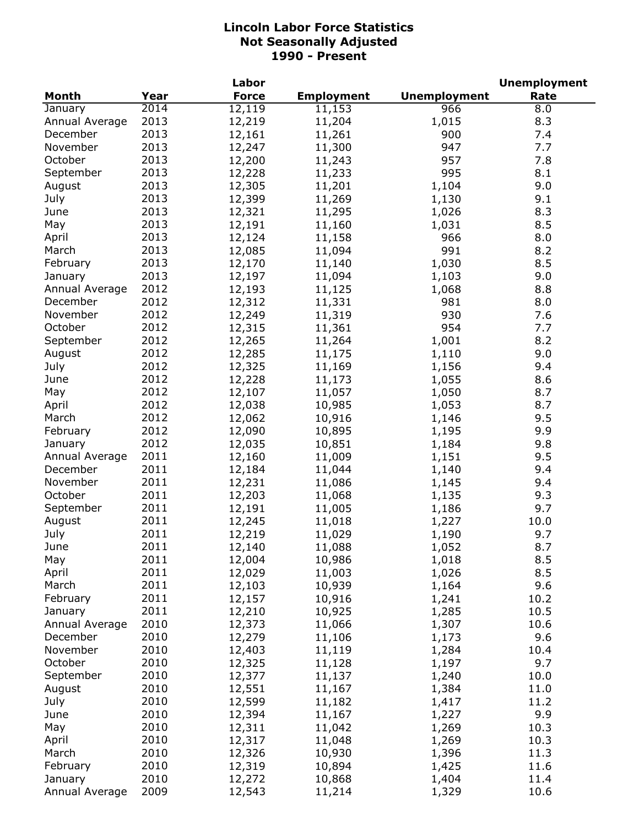| <b>Unemployment</b><br>Month<br>Year<br><b>Force</b><br><b>Employment</b><br>Rate<br>2014<br>12, 119<br>11,153<br>966<br>8.0<br>January<br>2013<br>12,219<br>1,015<br>8.3<br>Annual Average<br>11,204<br>2013<br>December<br>12,161<br>900<br>7.4<br>11,261<br>2013<br>November<br>12,247<br>947<br>7.7<br>11,300<br>2013<br>October<br>957<br>7.8<br>12,200<br>11,243<br>2013<br>995<br>September<br>8.1<br>12,228<br>11,233<br>2013<br>9.0<br>August<br>12,305<br>11,201<br>1,104<br>2013<br>9.1<br>July<br>12,399<br>11,269<br>1,130<br>2013<br>12,321<br>1,026<br>8.3<br>June<br>11,295<br>2013<br>May<br>12,191<br>1,031<br>8.5<br>11,160<br>2013<br>12,124<br>966<br>8.0<br>April<br>11,158<br>2013<br>991<br>March<br>12,085<br>11,094<br>8.2<br>2013<br>February<br>12,170<br>1,030<br>8.5<br>11,140<br>2013<br>12,197<br>1,103<br>9.0<br>11,094<br>January<br>2012<br>12,193<br>8.8<br>Annual Average<br>11,125<br>1,068<br>2012<br>12,312<br>981<br>8.0<br>December<br>11,331<br>2012<br>930<br>12,249<br>11,319<br>7.6<br>November<br>2012<br>954<br>October<br>12,315<br>7.7<br>11,361<br>2012<br>8.2<br>September<br>12,265<br>1,001<br>11,264<br>2012<br>12,285<br>9.0<br>August<br>11,175<br>1,110<br>2012<br>12,325<br>9.4<br>July<br>11,169<br>1,156<br>2012<br>12,228<br>8.6<br>June<br>11,173<br>1,055<br>2012<br>12,107<br>May<br>11,057<br>1,050<br>8.7<br>2012<br>8.7<br>April<br>12,038<br>10,985<br>1,053<br>2012<br>12,062<br>9.5<br>March<br>10,916<br>1,146<br>2012<br>12,090<br>9.9<br>February<br>10,895<br>1,195<br>2012<br>12,035<br>9.8<br>January<br>10,851<br>1,184<br>2011<br>12,160<br>1,151<br>9.5<br>Annual Average<br>11,009<br>2011<br>December<br>12,184<br>1,140<br>11,044<br>9.4<br>2011<br>12,231<br>November<br>11,086<br>1,145<br>9.4<br>2011<br>12,203<br>October<br>1,135<br>9.3<br>11,068<br>2011<br>12,191<br>9.7<br>September<br>11,005<br>1,186<br>2011<br>12,245<br>10.0<br>August<br>11,018<br>1,227<br>2011<br>12,219<br>9.7<br>July<br>11,029<br>1,190<br>2011<br>June<br>11,088<br>8.7<br>12,140<br>1,052<br>2011<br>8.5<br>May<br>12,004<br>10,986<br>1,018<br>2011<br>12,029<br>8.5<br>April<br>11,003<br>1,026<br>2011<br>9.6<br>March<br>12,103<br>10,939<br>1,164<br>2011<br>12,157<br>10,916<br>10.2<br>February<br>1,241<br>2011<br>10.5<br>12,210<br>10,925<br>1,285<br>January<br>2010<br>10.6<br>Annual Average<br>12,373<br>11,066<br>1,307<br>2010<br>9.6<br>December<br>12,279<br>11,106<br>1,173<br>2010<br>12,403<br>November<br>1,284<br>10.4<br>11,119<br>October<br>2010<br>12,325<br>9.7<br>11,128<br>1,197<br>2010<br>12,377<br>1,240<br>10.0<br>September<br>11,137<br>12,551<br>2010<br>August<br>11,167<br>1,384<br>11.0<br>12,599<br>2010<br>1,417<br>11.2<br>July<br>11,182<br>2010<br>12,394<br>1,227<br>June<br>11,167<br>9.9<br>2010<br>12,311<br>1,269<br>10.3<br>May<br>11,042<br>2010<br>12,317<br>10.3<br>April<br>11,048<br>1,269<br>2010<br>12,326<br>11.3<br>March<br>10,930<br>1,396<br>2010<br>11.6<br>February<br>12,319<br>1,425<br>10,894<br>2010<br>12,272<br>January<br>10,868<br>1,404<br>11.4 |                |      | Labor  |        |       | <b>Unemployment</b> |
|----------------------------------------------------------------------------------------------------------------------------------------------------------------------------------------------------------------------------------------------------------------------------------------------------------------------------------------------------------------------------------------------------------------------------------------------------------------------------------------------------------------------------------------------------------------------------------------------------------------------------------------------------------------------------------------------------------------------------------------------------------------------------------------------------------------------------------------------------------------------------------------------------------------------------------------------------------------------------------------------------------------------------------------------------------------------------------------------------------------------------------------------------------------------------------------------------------------------------------------------------------------------------------------------------------------------------------------------------------------------------------------------------------------------------------------------------------------------------------------------------------------------------------------------------------------------------------------------------------------------------------------------------------------------------------------------------------------------------------------------------------------------------------------------------------------------------------------------------------------------------------------------------------------------------------------------------------------------------------------------------------------------------------------------------------------------------------------------------------------------------------------------------------------------------------------------------------------------------------------------------------------------------------------------------------------------------------------------------------------------------------------------------------------------------------------------------------------------------------------------------------------------------------------------------------------------------------------------------------------------------------------------------------------------------------------------------------------------------------------------------------------------------------------------------------------------------------------------------------------------------------------------------------------------------------------------------------------------------------------------------------------------------------------------------------------------------------------------------|----------------|------|--------|--------|-------|---------------------|
|                                                                                                                                                                                                                                                                                                                                                                                                                                                                                                                                                                                                                                                                                                                                                                                                                                                                                                                                                                                                                                                                                                                                                                                                                                                                                                                                                                                                                                                                                                                                                                                                                                                                                                                                                                                                                                                                                                                                                                                                                                                                                                                                                                                                                                                                                                                                                                                                                                                                                                                                                                                                                                                                                                                                                                                                                                                                                                                                                                                                                                                                                                    |                |      |        |        |       |                     |
|                                                                                                                                                                                                                                                                                                                                                                                                                                                                                                                                                                                                                                                                                                                                                                                                                                                                                                                                                                                                                                                                                                                                                                                                                                                                                                                                                                                                                                                                                                                                                                                                                                                                                                                                                                                                                                                                                                                                                                                                                                                                                                                                                                                                                                                                                                                                                                                                                                                                                                                                                                                                                                                                                                                                                                                                                                                                                                                                                                                                                                                                                                    |                |      |        |        |       |                     |
|                                                                                                                                                                                                                                                                                                                                                                                                                                                                                                                                                                                                                                                                                                                                                                                                                                                                                                                                                                                                                                                                                                                                                                                                                                                                                                                                                                                                                                                                                                                                                                                                                                                                                                                                                                                                                                                                                                                                                                                                                                                                                                                                                                                                                                                                                                                                                                                                                                                                                                                                                                                                                                                                                                                                                                                                                                                                                                                                                                                                                                                                                                    |                |      |        |        |       |                     |
|                                                                                                                                                                                                                                                                                                                                                                                                                                                                                                                                                                                                                                                                                                                                                                                                                                                                                                                                                                                                                                                                                                                                                                                                                                                                                                                                                                                                                                                                                                                                                                                                                                                                                                                                                                                                                                                                                                                                                                                                                                                                                                                                                                                                                                                                                                                                                                                                                                                                                                                                                                                                                                                                                                                                                                                                                                                                                                                                                                                                                                                                                                    |                |      |        |        |       |                     |
|                                                                                                                                                                                                                                                                                                                                                                                                                                                                                                                                                                                                                                                                                                                                                                                                                                                                                                                                                                                                                                                                                                                                                                                                                                                                                                                                                                                                                                                                                                                                                                                                                                                                                                                                                                                                                                                                                                                                                                                                                                                                                                                                                                                                                                                                                                                                                                                                                                                                                                                                                                                                                                                                                                                                                                                                                                                                                                                                                                                                                                                                                                    |                |      |        |        |       |                     |
|                                                                                                                                                                                                                                                                                                                                                                                                                                                                                                                                                                                                                                                                                                                                                                                                                                                                                                                                                                                                                                                                                                                                                                                                                                                                                                                                                                                                                                                                                                                                                                                                                                                                                                                                                                                                                                                                                                                                                                                                                                                                                                                                                                                                                                                                                                                                                                                                                                                                                                                                                                                                                                                                                                                                                                                                                                                                                                                                                                                                                                                                                                    |                |      |        |        |       |                     |
|                                                                                                                                                                                                                                                                                                                                                                                                                                                                                                                                                                                                                                                                                                                                                                                                                                                                                                                                                                                                                                                                                                                                                                                                                                                                                                                                                                                                                                                                                                                                                                                                                                                                                                                                                                                                                                                                                                                                                                                                                                                                                                                                                                                                                                                                                                                                                                                                                                                                                                                                                                                                                                                                                                                                                                                                                                                                                                                                                                                                                                                                                                    |                |      |        |        |       |                     |
|                                                                                                                                                                                                                                                                                                                                                                                                                                                                                                                                                                                                                                                                                                                                                                                                                                                                                                                                                                                                                                                                                                                                                                                                                                                                                                                                                                                                                                                                                                                                                                                                                                                                                                                                                                                                                                                                                                                                                                                                                                                                                                                                                                                                                                                                                                                                                                                                                                                                                                                                                                                                                                                                                                                                                                                                                                                                                                                                                                                                                                                                                                    |                |      |        |        |       |                     |
|                                                                                                                                                                                                                                                                                                                                                                                                                                                                                                                                                                                                                                                                                                                                                                                                                                                                                                                                                                                                                                                                                                                                                                                                                                                                                                                                                                                                                                                                                                                                                                                                                                                                                                                                                                                                                                                                                                                                                                                                                                                                                                                                                                                                                                                                                                                                                                                                                                                                                                                                                                                                                                                                                                                                                                                                                                                                                                                                                                                                                                                                                                    |                |      |        |        |       |                     |
|                                                                                                                                                                                                                                                                                                                                                                                                                                                                                                                                                                                                                                                                                                                                                                                                                                                                                                                                                                                                                                                                                                                                                                                                                                                                                                                                                                                                                                                                                                                                                                                                                                                                                                                                                                                                                                                                                                                                                                                                                                                                                                                                                                                                                                                                                                                                                                                                                                                                                                                                                                                                                                                                                                                                                                                                                                                                                                                                                                                                                                                                                                    |                |      |        |        |       |                     |
|                                                                                                                                                                                                                                                                                                                                                                                                                                                                                                                                                                                                                                                                                                                                                                                                                                                                                                                                                                                                                                                                                                                                                                                                                                                                                                                                                                                                                                                                                                                                                                                                                                                                                                                                                                                                                                                                                                                                                                                                                                                                                                                                                                                                                                                                                                                                                                                                                                                                                                                                                                                                                                                                                                                                                                                                                                                                                                                                                                                                                                                                                                    |                |      |        |        |       |                     |
|                                                                                                                                                                                                                                                                                                                                                                                                                                                                                                                                                                                                                                                                                                                                                                                                                                                                                                                                                                                                                                                                                                                                                                                                                                                                                                                                                                                                                                                                                                                                                                                                                                                                                                                                                                                                                                                                                                                                                                                                                                                                                                                                                                                                                                                                                                                                                                                                                                                                                                                                                                                                                                                                                                                                                                                                                                                                                                                                                                                                                                                                                                    |                |      |        |        |       |                     |
|                                                                                                                                                                                                                                                                                                                                                                                                                                                                                                                                                                                                                                                                                                                                                                                                                                                                                                                                                                                                                                                                                                                                                                                                                                                                                                                                                                                                                                                                                                                                                                                                                                                                                                                                                                                                                                                                                                                                                                                                                                                                                                                                                                                                                                                                                                                                                                                                                                                                                                                                                                                                                                                                                                                                                                                                                                                                                                                                                                                                                                                                                                    |                |      |        |        |       |                     |
|                                                                                                                                                                                                                                                                                                                                                                                                                                                                                                                                                                                                                                                                                                                                                                                                                                                                                                                                                                                                                                                                                                                                                                                                                                                                                                                                                                                                                                                                                                                                                                                                                                                                                                                                                                                                                                                                                                                                                                                                                                                                                                                                                                                                                                                                                                                                                                                                                                                                                                                                                                                                                                                                                                                                                                                                                                                                                                                                                                                                                                                                                                    |                |      |        |        |       |                     |
|                                                                                                                                                                                                                                                                                                                                                                                                                                                                                                                                                                                                                                                                                                                                                                                                                                                                                                                                                                                                                                                                                                                                                                                                                                                                                                                                                                                                                                                                                                                                                                                                                                                                                                                                                                                                                                                                                                                                                                                                                                                                                                                                                                                                                                                                                                                                                                                                                                                                                                                                                                                                                                                                                                                                                                                                                                                                                                                                                                                                                                                                                                    |                |      |        |        |       |                     |
|                                                                                                                                                                                                                                                                                                                                                                                                                                                                                                                                                                                                                                                                                                                                                                                                                                                                                                                                                                                                                                                                                                                                                                                                                                                                                                                                                                                                                                                                                                                                                                                                                                                                                                                                                                                                                                                                                                                                                                                                                                                                                                                                                                                                                                                                                                                                                                                                                                                                                                                                                                                                                                                                                                                                                                                                                                                                                                                                                                                                                                                                                                    |                |      |        |        |       |                     |
|                                                                                                                                                                                                                                                                                                                                                                                                                                                                                                                                                                                                                                                                                                                                                                                                                                                                                                                                                                                                                                                                                                                                                                                                                                                                                                                                                                                                                                                                                                                                                                                                                                                                                                                                                                                                                                                                                                                                                                                                                                                                                                                                                                                                                                                                                                                                                                                                                                                                                                                                                                                                                                                                                                                                                                                                                                                                                                                                                                                                                                                                                                    |                |      |        |        |       |                     |
|                                                                                                                                                                                                                                                                                                                                                                                                                                                                                                                                                                                                                                                                                                                                                                                                                                                                                                                                                                                                                                                                                                                                                                                                                                                                                                                                                                                                                                                                                                                                                                                                                                                                                                                                                                                                                                                                                                                                                                                                                                                                                                                                                                                                                                                                                                                                                                                                                                                                                                                                                                                                                                                                                                                                                                                                                                                                                                                                                                                                                                                                                                    |                |      |        |        |       |                     |
|                                                                                                                                                                                                                                                                                                                                                                                                                                                                                                                                                                                                                                                                                                                                                                                                                                                                                                                                                                                                                                                                                                                                                                                                                                                                                                                                                                                                                                                                                                                                                                                                                                                                                                                                                                                                                                                                                                                                                                                                                                                                                                                                                                                                                                                                                                                                                                                                                                                                                                                                                                                                                                                                                                                                                                                                                                                                                                                                                                                                                                                                                                    |                |      |        |        |       |                     |
|                                                                                                                                                                                                                                                                                                                                                                                                                                                                                                                                                                                                                                                                                                                                                                                                                                                                                                                                                                                                                                                                                                                                                                                                                                                                                                                                                                                                                                                                                                                                                                                                                                                                                                                                                                                                                                                                                                                                                                                                                                                                                                                                                                                                                                                                                                                                                                                                                                                                                                                                                                                                                                                                                                                                                                                                                                                                                                                                                                                                                                                                                                    |                |      |        |        |       |                     |
|                                                                                                                                                                                                                                                                                                                                                                                                                                                                                                                                                                                                                                                                                                                                                                                                                                                                                                                                                                                                                                                                                                                                                                                                                                                                                                                                                                                                                                                                                                                                                                                                                                                                                                                                                                                                                                                                                                                                                                                                                                                                                                                                                                                                                                                                                                                                                                                                                                                                                                                                                                                                                                                                                                                                                                                                                                                                                                                                                                                                                                                                                                    |                |      |        |        |       |                     |
|                                                                                                                                                                                                                                                                                                                                                                                                                                                                                                                                                                                                                                                                                                                                                                                                                                                                                                                                                                                                                                                                                                                                                                                                                                                                                                                                                                                                                                                                                                                                                                                                                                                                                                                                                                                                                                                                                                                                                                                                                                                                                                                                                                                                                                                                                                                                                                                                                                                                                                                                                                                                                                                                                                                                                                                                                                                                                                                                                                                                                                                                                                    |                |      |        |        |       |                     |
|                                                                                                                                                                                                                                                                                                                                                                                                                                                                                                                                                                                                                                                                                                                                                                                                                                                                                                                                                                                                                                                                                                                                                                                                                                                                                                                                                                                                                                                                                                                                                                                                                                                                                                                                                                                                                                                                                                                                                                                                                                                                                                                                                                                                                                                                                                                                                                                                                                                                                                                                                                                                                                                                                                                                                                                                                                                                                                                                                                                                                                                                                                    |                |      |        |        |       |                     |
|                                                                                                                                                                                                                                                                                                                                                                                                                                                                                                                                                                                                                                                                                                                                                                                                                                                                                                                                                                                                                                                                                                                                                                                                                                                                                                                                                                                                                                                                                                                                                                                                                                                                                                                                                                                                                                                                                                                                                                                                                                                                                                                                                                                                                                                                                                                                                                                                                                                                                                                                                                                                                                                                                                                                                                                                                                                                                                                                                                                                                                                                                                    |                |      |        |        |       |                     |
|                                                                                                                                                                                                                                                                                                                                                                                                                                                                                                                                                                                                                                                                                                                                                                                                                                                                                                                                                                                                                                                                                                                                                                                                                                                                                                                                                                                                                                                                                                                                                                                                                                                                                                                                                                                                                                                                                                                                                                                                                                                                                                                                                                                                                                                                                                                                                                                                                                                                                                                                                                                                                                                                                                                                                                                                                                                                                                                                                                                                                                                                                                    |                |      |        |        |       |                     |
|                                                                                                                                                                                                                                                                                                                                                                                                                                                                                                                                                                                                                                                                                                                                                                                                                                                                                                                                                                                                                                                                                                                                                                                                                                                                                                                                                                                                                                                                                                                                                                                                                                                                                                                                                                                                                                                                                                                                                                                                                                                                                                                                                                                                                                                                                                                                                                                                                                                                                                                                                                                                                                                                                                                                                                                                                                                                                                                                                                                                                                                                                                    |                |      |        |        |       |                     |
|                                                                                                                                                                                                                                                                                                                                                                                                                                                                                                                                                                                                                                                                                                                                                                                                                                                                                                                                                                                                                                                                                                                                                                                                                                                                                                                                                                                                                                                                                                                                                                                                                                                                                                                                                                                                                                                                                                                                                                                                                                                                                                                                                                                                                                                                                                                                                                                                                                                                                                                                                                                                                                                                                                                                                                                                                                                                                                                                                                                                                                                                                                    |                |      |        |        |       |                     |
|                                                                                                                                                                                                                                                                                                                                                                                                                                                                                                                                                                                                                                                                                                                                                                                                                                                                                                                                                                                                                                                                                                                                                                                                                                                                                                                                                                                                                                                                                                                                                                                                                                                                                                                                                                                                                                                                                                                                                                                                                                                                                                                                                                                                                                                                                                                                                                                                                                                                                                                                                                                                                                                                                                                                                                                                                                                                                                                                                                                                                                                                                                    |                |      |        |        |       |                     |
|                                                                                                                                                                                                                                                                                                                                                                                                                                                                                                                                                                                                                                                                                                                                                                                                                                                                                                                                                                                                                                                                                                                                                                                                                                                                                                                                                                                                                                                                                                                                                                                                                                                                                                                                                                                                                                                                                                                                                                                                                                                                                                                                                                                                                                                                                                                                                                                                                                                                                                                                                                                                                                                                                                                                                                                                                                                                                                                                                                                                                                                                                                    |                |      |        |        |       |                     |
|                                                                                                                                                                                                                                                                                                                                                                                                                                                                                                                                                                                                                                                                                                                                                                                                                                                                                                                                                                                                                                                                                                                                                                                                                                                                                                                                                                                                                                                                                                                                                                                                                                                                                                                                                                                                                                                                                                                                                                                                                                                                                                                                                                                                                                                                                                                                                                                                                                                                                                                                                                                                                                                                                                                                                                                                                                                                                                                                                                                                                                                                                                    |                |      |        |        |       |                     |
|                                                                                                                                                                                                                                                                                                                                                                                                                                                                                                                                                                                                                                                                                                                                                                                                                                                                                                                                                                                                                                                                                                                                                                                                                                                                                                                                                                                                                                                                                                                                                                                                                                                                                                                                                                                                                                                                                                                                                                                                                                                                                                                                                                                                                                                                                                                                                                                                                                                                                                                                                                                                                                                                                                                                                                                                                                                                                                                                                                                                                                                                                                    |                |      |        |        |       |                     |
|                                                                                                                                                                                                                                                                                                                                                                                                                                                                                                                                                                                                                                                                                                                                                                                                                                                                                                                                                                                                                                                                                                                                                                                                                                                                                                                                                                                                                                                                                                                                                                                                                                                                                                                                                                                                                                                                                                                                                                                                                                                                                                                                                                                                                                                                                                                                                                                                                                                                                                                                                                                                                                                                                                                                                                                                                                                                                                                                                                                                                                                                                                    |                |      |        |        |       |                     |
|                                                                                                                                                                                                                                                                                                                                                                                                                                                                                                                                                                                                                                                                                                                                                                                                                                                                                                                                                                                                                                                                                                                                                                                                                                                                                                                                                                                                                                                                                                                                                                                                                                                                                                                                                                                                                                                                                                                                                                                                                                                                                                                                                                                                                                                                                                                                                                                                                                                                                                                                                                                                                                                                                                                                                                                                                                                                                                                                                                                                                                                                                                    |                |      |        |        |       |                     |
|                                                                                                                                                                                                                                                                                                                                                                                                                                                                                                                                                                                                                                                                                                                                                                                                                                                                                                                                                                                                                                                                                                                                                                                                                                                                                                                                                                                                                                                                                                                                                                                                                                                                                                                                                                                                                                                                                                                                                                                                                                                                                                                                                                                                                                                                                                                                                                                                                                                                                                                                                                                                                                                                                                                                                                                                                                                                                                                                                                                                                                                                                                    |                |      |        |        |       |                     |
|                                                                                                                                                                                                                                                                                                                                                                                                                                                                                                                                                                                                                                                                                                                                                                                                                                                                                                                                                                                                                                                                                                                                                                                                                                                                                                                                                                                                                                                                                                                                                                                                                                                                                                                                                                                                                                                                                                                                                                                                                                                                                                                                                                                                                                                                                                                                                                                                                                                                                                                                                                                                                                                                                                                                                                                                                                                                                                                                                                                                                                                                                                    |                |      |        |        |       |                     |
|                                                                                                                                                                                                                                                                                                                                                                                                                                                                                                                                                                                                                                                                                                                                                                                                                                                                                                                                                                                                                                                                                                                                                                                                                                                                                                                                                                                                                                                                                                                                                                                                                                                                                                                                                                                                                                                                                                                                                                                                                                                                                                                                                                                                                                                                                                                                                                                                                                                                                                                                                                                                                                                                                                                                                                                                                                                                                                                                                                                                                                                                                                    |                |      |        |        |       |                     |
|                                                                                                                                                                                                                                                                                                                                                                                                                                                                                                                                                                                                                                                                                                                                                                                                                                                                                                                                                                                                                                                                                                                                                                                                                                                                                                                                                                                                                                                                                                                                                                                                                                                                                                                                                                                                                                                                                                                                                                                                                                                                                                                                                                                                                                                                                                                                                                                                                                                                                                                                                                                                                                                                                                                                                                                                                                                                                                                                                                                                                                                                                                    |                |      |        |        |       |                     |
|                                                                                                                                                                                                                                                                                                                                                                                                                                                                                                                                                                                                                                                                                                                                                                                                                                                                                                                                                                                                                                                                                                                                                                                                                                                                                                                                                                                                                                                                                                                                                                                                                                                                                                                                                                                                                                                                                                                                                                                                                                                                                                                                                                                                                                                                                                                                                                                                                                                                                                                                                                                                                                                                                                                                                                                                                                                                                                                                                                                                                                                                                                    |                |      |        |        |       |                     |
|                                                                                                                                                                                                                                                                                                                                                                                                                                                                                                                                                                                                                                                                                                                                                                                                                                                                                                                                                                                                                                                                                                                                                                                                                                                                                                                                                                                                                                                                                                                                                                                                                                                                                                                                                                                                                                                                                                                                                                                                                                                                                                                                                                                                                                                                                                                                                                                                                                                                                                                                                                                                                                                                                                                                                                                                                                                                                                                                                                                                                                                                                                    |                |      |        |        |       |                     |
|                                                                                                                                                                                                                                                                                                                                                                                                                                                                                                                                                                                                                                                                                                                                                                                                                                                                                                                                                                                                                                                                                                                                                                                                                                                                                                                                                                                                                                                                                                                                                                                                                                                                                                                                                                                                                                                                                                                                                                                                                                                                                                                                                                                                                                                                                                                                                                                                                                                                                                                                                                                                                                                                                                                                                                                                                                                                                                                                                                                                                                                                                                    |                |      |        |        |       |                     |
|                                                                                                                                                                                                                                                                                                                                                                                                                                                                                                                                                                                                                                                                                                                                                                                                                                                                                                                                                                                                                                                                                                                                                                                                                                                                                                                                                                                                                                                                                                                                                                                                                                                                                                                                                                                                                                                                                                                                                                                                                                                                                                                                                                                                                                                                                                                                                                                                                                                                                                                                                                                                                                                                                                                                                                                                                                                                                                                                                                                                                                                                                                    |                |      |        |        |       |                     |
|                                                                                                                                                                                                                                                                                                                                                                                                                                                                                                                                                                                                                                                                                                                                                                                                                                                                                                                                                                                                                                                                                                                                                                                                                                                                                                                                                                                                                                                                                                                                                                                                                                                                                                                                                                                                                                                                                                                                                                                                                                                                                                                                                                                                                                                                                                                                                                                                                                                                                                                                                                                                                                                                                                                                                                                                                                                                                                                                                                                                                                                                                                    |                |      |        |        |       |                     |
|                                                                                                                                                                                                                                                                                                                                                                                                                                                                                                                                                                                                                                                                                                                                                                                                                                                                                                                                                                                                                                                                                                                                                                                                                                                                                                                                                                                                                                                                                                                                                                                                                                                                                                                                                                                                                                                                                                                                                                                                                                                                                                                                                                                                                                                                                                                                                                                                                                                                                                                                                                                                                                                                                                                                                                                                                                                                                                                                                                                                                                                                                                    |                |      |        |        |       |                     |
|                                                                                                                                                                                                                                                                                                                                                                                                                                                                                                                                                                                                                                                                                                                                                                                                                                                                                                                                                                                                                                                                                                                                                                                                                                                                                                                                                                                                                                                                                                                                                                                                                                                                                                                                                                                                                                                                                                                                                                                                                                                                                                                                                                                                                                                                                                                                                                                                                                                                                                                                                                                                                                                                                                                                                                                                                                                                                                                                                                                                                                                                                                    |                |      |        |        |       |                     |
|                                                                                                                                                                                                                                                                                                                                                                                                                                                                                                                                                                                                                                                                                                                                                                                                                                                                                                                                                                                                                                                                                                                                                                                                                                                                                                                                                                                                                                                                                                                                                                                                                                                                                                                                                                                                                                                                                                                                                                                                                                                                                                                                                                                                                                                                                                                                                                                                                                                                                                                                                                                                                                                                                                                                                                                                                                                                                                                                                                                                                                                                                                    |                |      |        |        |       |                     |
|                                                                                                                                                                                                                                                                                                                                                                                                                                                                                                                                                                                                                                                                                                                                                                                                                                                                                                                                                                                                                                                                                                                                                                                                                                                                                                                                                                                                                                                                                                                                                                                                                                                                                                                                                                                                                                                                                                                                                                                                                                                                                                                                                                                                                                                                                                                                                                                                                                                                                                                                                                                                                                                                                                                                                                                                                                                                                                                                                                                                                                                                                                    |                |      |        |        |       |                     |
|                                                                                                                                                                                                                                                                                                                                                                                                                                                                                                                                                                                                                                                                                                                                                                                                                                                                                                                                                                                                                                                                                                                                                                                                                                                                                                                                                                                                                                                                                                                                                                                                                                                                                                                                                                                                                                                                                                                                                                                                                                                                                                                                                                                                                                                                                                                                                                                                                                                                                                                                                                                                                                                                                                                                                                                                                                                                                                                                                                                                                                                                                                    |                |      |        |        |       |                     |
|                                                                                                                                                                                                                                                                                                                                                                                                                                                                                                                                                                                                                                                                                                                                                                                                                                                                                                                                                                                                                                                                                                                                                                                                                                                                                                                                                                                                                                                                                                                                                                                                                                                                                                                                                                                                                                                                                                                                                                                                                                                                                                                                                                                                                                                                                                                                                                                                                                                                                                                                                                                                                                                                                                                                                                                                                                                                                                                                                                                                                                                                                                    |                |      |        |        |       |                     |
|                                                                                                                                                                                                                                                                                                                                                                                                                                                                                                                                                                                                                                                                                                                                                                                                                                                                                                                                                                                                                                                                                                                                                                                                                                                                                                                                                                                                                                                                                                                                                                                                                                                                                                                                                                                                                                                                                                                                                                                                                                                                                                                                                                                                                                                                                                                                                                                                                                                                                                                                                                                                                                                                                                                                                                                                                                                                                                                                                                                                                                                                                                    |                |      |        |        |       |                     |
|                                                                                                                                                                                                                                                                                                                                                                                                                                                                                                                                                                                                                                                                                                                                                                                                                                                                                                                                                                                                                                                                                                                                                                                                                                                                                                                                                                                                                                                                                                                                                                                                                                                                                                                                                                                                                                                                                                                                                                                                                                                                                                                                                                                                                                                                                                                                                                                                                                                                                                                                                                                                                                                                                                                                                                                                                                                                                                                                                                                                                                                                                                    |                |      |        |        |       |                     |
|                                                                                                                                                                                                                                                                                                                                                                                                                                                                                                                                                                                                                                                                                                                                                                                                                                                                                                                                                                                                                                                                                                                                                                                                                                                                                                                                                                                                                                                                                                                                                                                                                                                                                                                                                                                                                                                                                                                                                                                                                                                                                                                                                                                                                                                                                                                                                                                                                                                                                                                                                                                                                                                                                                                                                                                                                                                                                                                                                                                                                                                                                                    |                |      |        |        |       |                     |
|                                                                                                                                                                                                                                                                                                                                                                                                                                                                                                                                                                                                                                                                                                                                                                                                                                                                                                                                                                                                                                                                                                                                                                                                                                                                                                                                                                                                                                                                                                                                                                                                                                                                                                                                                                                                                                                                                                                                                                                                                                                                                                                                                                                                                                                                                                                                                                                                                                                                                                                                                                                                                                                                                                                                                                                                                                                                                                                                                                                                                                                                                                    |                |      |        |        |       |                     |
|                                                                                                                                                                                                                                                                                                                                                                                                                                                                                                                                                                                                                                                                                                                                                                                                                                                                                                                                                                                                                                                                                                                                                                                                                                                                                                                                                                                                                                                                                                                                                                                                                                                                                                                                                                                                                                                                                                                                                                                                                                                                                                                                                                                                                                                                                                                                                                                                                                                                                                                                                                                                                                                                                                                                                                                                                                                                                                                                                                                                                                                                                                    |                |      |        |        |       |                     |
|                                                                                                                                                                                                                                                                                                                                                                                                                                                                                                                                                                                                                                                                                                                                                                                                                                                                                                                                                                                                                                                                                                                                                                                                                                                                                                                                                                                                                                                                                                                                                                                                                                                                                                                                                                                                                                                                                                                                                                                                                                                                                                                                                                                                                                                                                                                                                                                                                                                                                                                                                                                                                                                                                                                                                                                                                                                                                                                                                                                                                                                                                                    |                |      |        |        |       |                     |
|                                                                                                                                                                                                                                                                                                                                                                                                                                                                                                                                                                                                                                                                                                                                                                                                                                                                                                                                                                                                                                                                                                                                                                                                                                                                                                                                                                                                                                                                                                                                                                                                                                                                                                                                                                                                                                                                                                                                                                                                                                                                                                                                                                                                                                                                                                                                                                                                                                                                                                                                                                                                                                                                                                                                                                                                                                                                                                                                                                                                                                                                                                    | Annual Average | 2009 | 12,543 | 11,214 | 1,329 | 10.6                |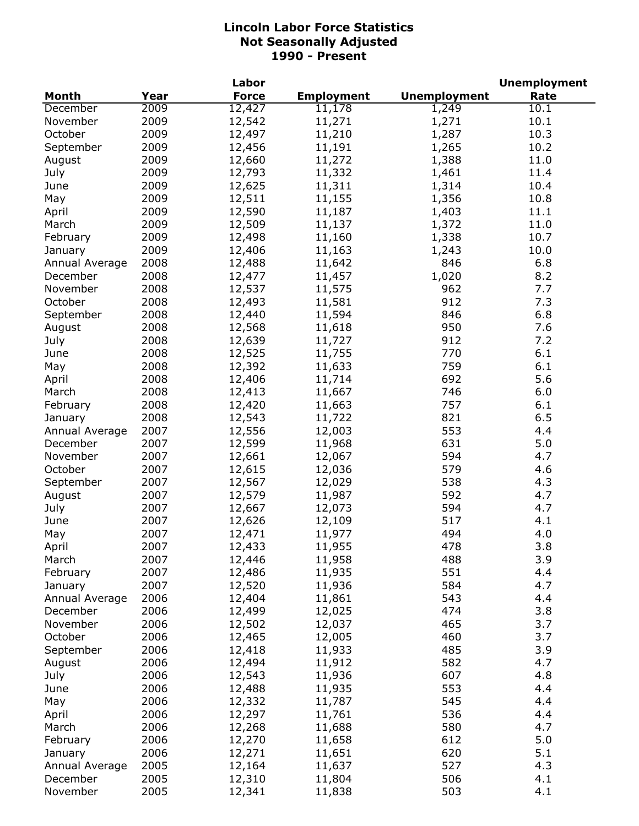|                |      | Labor        |                   |                     | <b>Unemployment</b> |
|----------------|------|--------------|-------------------|---------------------|---------------------|
| <b>Month</b>   | Year | <b>Force</b> | <b>Employment</b> | <b>Unemployment</b> | Rate                |
| December       | 2009 | 12,427       | 11,178            | 1,249               | 10.1                |
| November       | 2009 | 12,542       | 11,271            | 1,271               | 10.1                |
| October        | 2009 | 12,497       | 11,210            | 1,287               | 10.3                |
| September      | 2009 | 12,456       | 11,191            | 1,265               | 10.2                |
| August         | 2009 | 12,660       | 11,272            | 1,388               | 11.0                |
| July           | 2009 | 12,793       | 11,332            | 1,461               | 11.4                |
| June           | 2009 | 12,625       | 11,311            | 1,314               | 10.4                |
| May            | 2009 | 12,511       | 11,155            | 1,356               | 10.8                |
| April          | 2009 | 12,590       | 11,187            | 1,403               | 11.1                |
| March          | 2009 | 12,509       | 11,137            | 1,372               | 11.0                |
| February       | 2009 | 12,498       | 11,160            | 1,338               | 10.7                |
| January        | 2009 | 12,406       | 11,163            | 1,243               | 10.0                |
| Annual Average | 2008 | 12,488       | 11,642            | 846                 | 6.8                 |
| December       | 2008 | 12,477       | 11,457            | 1,020               | 8.2                 |
| November       | 2008 | 12,537       | 11,575            | 962                 | 7.7                 |
| October        | 2008 | 12,493       | 11,581            | 912                 | 7.3                 |
| September      | 2008 | 12,440       | 11,594            | 846                 | 6.8                 |
| August         | 2008 | 12,568       | 11,618            | 950                 | 7.6                 |
|                | 2008 |              | 11,727            | 912                 | 7.2                 |
| July           |      | 12,639       |                   | 770                 |                     |
| June           | 2008 | 12,525       | 11,755            |                     | 6.1                 |
| May            | 2008 | 12,392       | 11,633            | 759                 | 6.1                 |
| April          | 2008 | 12,406       | 11,714            | 692                 | 5.6                 |
| March          | 2008 | 12,413       | 11,667            | 746                 | 6.0                 |
| February       | 2008 | 12,420       | 11,663            | 757                 | 6.1                 |
| January        | 2008 | 12,543       | 11,722            | 821                 | 6.5                 |
| Annual Average | 2007 | 12,556       | 12,003            | 553                 | 4.4                 |
| December       | 2007 | 12,599       | 11,968            | 631                 | 5.0                 |
| November       | 2007 | 12,661       | 12,067            | 594                 | 4.7                 |
| October        | 2007 | 12,615       | 12,036            | 579                 | 4.6                 |
| September      | 2007 | 12,567       | 12,029            | 538                 | 4.3                 |
| August         | 2007 | 12,579       | 11,987            | 592                 | 4.7                 |
| July           | 2007 | 12,667       | 12,073            | 594                 | 4.7                 |
| June           | 2007 | 12,626       | 12,109            | 517                 | 4.1                 |
| May            | 2007 | 12,471       | 11,977            | 494                 | 4.0                 |
| April          | 2007 | 12,433       | 11,955            | 478                 | 3.8                 |
| March          | 2007 | 12,446       | 11,958            | 488                 | 3.9                 |
| February       | 2007 | 12,486       | 11,935            | 551                 | 4.4                 |
| January        | 2007 | 12,520       | 11,936            | 584                 | 4.7                 |
| Annual Average | 2006 | 12,404       | 11,861            | 543                 | 4.4                 |
| December       | 2006 | 12,499       | 12,025            | 474                 | 3.8                 |
| November       | 2006 | 12,502       | 12,037            | 465                 | 3.7                 |
| October        | 2006 | 12,465       | 12,005            | 460                 | 3.7                 |
| September      | 2006 | 12,418       | 11,933            | 485                 | 3.9                 |
| August         | 2006 | 12,494       | 11,912            | 582                 | 4.7                 |
| July           | 2006 | 12,543       | 11,936            | 607                 | 4.8                 |
| June           | 2006 | 12,488       | 11,935            | 553                 | 4.4                 |
| May            | 2006 | 12,332       | 11,787            | 545                 | 4.4                 |
| April          | 2006 | 12,297       | 11,761            | 536                 | 4.4                 |
| March          | 2006 | 12,268       | 11,688            | 580                 | 4.7                 |
| February       | 2006 | 12,270       | 11,658            | 612                 | 5.0                 |
| January        | 2006 | 12,271       | 11,651            | 620                 | 5.1                 |
| Annual Average | 2005 | 12,164       | 11,637            | 527                 | 4.3                 |
| December       | 2005 | 12,310       | 11,804            | 506                 | 4.1                 |
| November       | 2005 | 12,341       | 11,838            | 503                 | 4.1                 |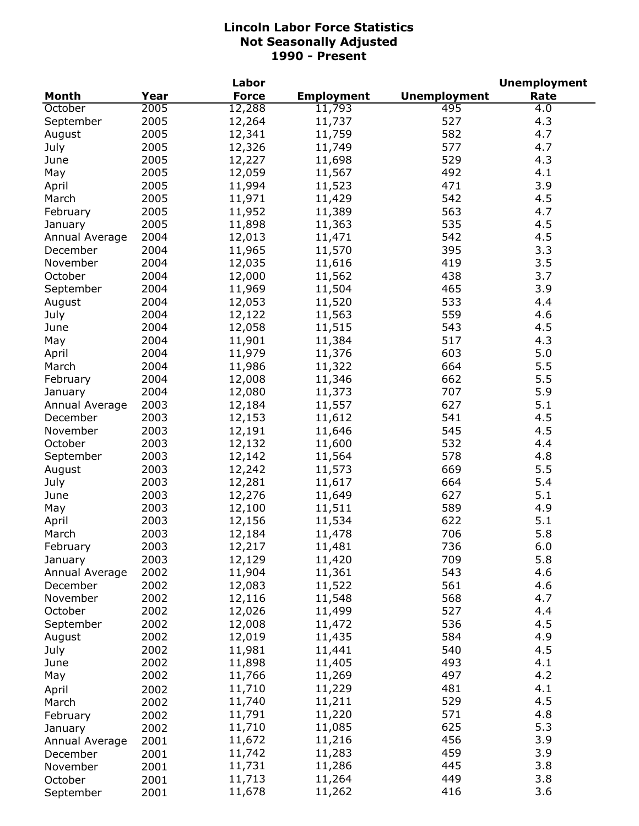|                |      | Labor        |                   |                     | <b>Unemployment</b> |
|----------------|------|--------------|-------------------|---------------------|---------------------|
| <b>Month</b>   | Year | <b>Force</b> | <b>Employment</b> | <b>Unemployment</b> | Rate                |
| October        | 2005 | 12,288       | 11,793            | 495                 | 4.0                 |
| September      | 2005 | 12,264       | 11,737            | 527                 | 4.3                 |
| August         | 2005 | 12,341       | 11,759            | 582                 | 4.7                 |
| July           | 2005 | 12,326       | 11,749            | 577                 | 4.7                 |
| June           | 2005 | 12,227       | 11,698            | 529                 | 4.3                 |
| May            | 2005 | 12,059       | 11,567            | 492                 | 4.1                 |
| April          | 2005 | 11,994       | 11,523            | 471                 | 3.9                 |
| March          | 2005 | 11,971       | 11,429            | 542                 | 4.5                 |
| February       | 2005 | 11,952       | 11,389            | 563                 | 4.7                 |
| January        | 2005 | 11,898       | 11,363            | 535                 | 4.5                 |
| Annual Average | 2004 | 12,013       | 11,471            | 542                 | 4.5                 |
| December       | 2004 | 11,965       | 11,570            | 395                 | 3.3                 |
| November       | 2004 | 12,035       | 11,616            | 419                 | 3.5                 |
| October        | 2004 | 12,000       | 11,562            | 438                 | 3.7                 |
| September      | 2004 | 11,969       | 11,504            | 465                 | 3.9                 |
| August         | 2004 | 12,053       | 11,520            | 533                 | 4.4                 |
| July           | 2004 | 12,122       | 11,563            | 559                 | 4.6                 |
| June           | 2004 | 12,058       | 11,515            | 543                 | 4.5                 |
|                | 2004 | 11,901       |                   | 517                 | 4.3                 |
| May            |      |              | 11,384            |                     |                     |
| April          | 2004 | 11,979       | 11,376            | 603                 | 5.0                 |
| March          | 2004 | 11,986       | 11,322            | 664                 | 5.5                 |
| February       | 2004 | 12,008       | 11,346            | 662                 | 5.5                 |
| January        | 2004 | 12,080       | 11,373            | 707                 | 5.9                 |
| Annual Average | 2003 | 12,184       | 11,557            | 627                 | 5.1                 |
| December       | 2003 | 12,153       | 11,612            | 541                 | 4.5                 |
| November       | 2003 | 12,191       | 11,646            | 545                 | 4.5                 |
| October        | 2003 | 12,132       | 11,600            | 532                 | 4.4                 |
| September      | 2003 | 12,142       | 11,564            | 578                 | 4.8                 |
| August         | 2003 | 12,242       | 11,573            | 669                 | 5.5                 |
| July           | 2003 | 12,281       | 11,617            | 664                 | 5.4                 |
| June           | 2003 | 12,276       | 11,649            | 627                 | 5.1                 |
| May            | 2003 | 12,100       | 11,511            | 589                 | 4.9                 |
| April          | 2003 | 12,156       | 11,534            | 622                 | 5.1                 |
| March          | 2003 | 12,184       | 11,478            | 706                 | 5.8                 |
| February       | 2003 | 12,217       | 11,481            | 736                 | 6.0                 |
| January        | 2003 | 12,129       | 11,420            | 709                 | 5.8                 |
| Annual Average | 2002 | 11,904       | 11,361            | 543                 | 4.6                 |
| December       | 2002 | 12,083       | 11,522            | 561                 | 4.6                 |
| November       | 2002 | 12,116       | 11,548            | 568                 | 4.7                 |
| October        | 2002 | 12,026       | 11,499            | 527                 | 4.4                 |
| September      | 2002 | 12,008       | 11,472            | 536                 | 4.5                 |
| August         | 2002 | 12,019       | 11,435            | 584                 | 4.9                 |
| July           | 2002 | 11,981       | 11,441            | 540                 | 4.5                 |
| June           | 2002 | 11,898       | 11,405            | 493                 | 4.1                 |
| May            | 2002 | 11,766       | 11,269            | 497                 | 4.2                 |
| April          | 2002 | 11,710       | 11,229            | 481                 | 4.1                 |
| March          | 2002 | 11,740       | 11,211            | 529                 | 4.5                 |
| February       | 2002 | 11,791       | 11,220            | 571                 | 4.8                 |
| January        | 2002 | 11,710       | 11,085            | 625                 | 5.3                 |
| Annual Average | 2001 | 11,672       | 11,216            | 456                 | 3.9                 |
| December       | 2001 | 11,742       | 11,283            | 459                 | 3.9                 |
| November       | 2001 | 11,731       | 11,286            | 445                 | 3.8                 |
| October        | 2001 | 11,713       | 11,264            | 449                 | 3.8                 |
| September      | 2001 | 11,678       | 11,262            | 416                 | 3.6                 |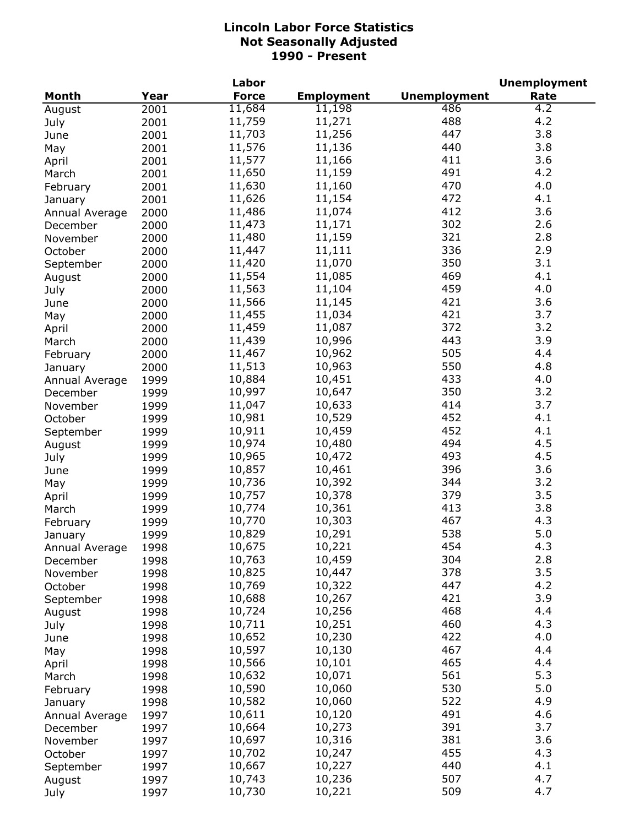|                |      | Labor        |                   |                     | <b>Unemployment</b> |
|----------------|------|--------------|-------------------|---------------------|---------------------|
| <b>Month</b>   | Year | <b>Force</b> | <b>Employment</b> | <b>Unemployment</b> | Rate                |
| August         | 2001 | 11,684       | 11,198            | 486                 | 4.2                 |
| July           | 2001 | 11,759       | 11,271            | 488                 | 4.2                 |
| June           | 2001 | 11,703       | 11,256            | 447                 | 3.8                 |
| May            | 2001 | 11,576       | 11,136            | 440                 | 3.8                 |
| April          | 2001 | 11,577       | 11,166            | 411                 | 3.6                 |
| March          | 2001 | 11,650       | 11,159            | 491                 | 4.2                 |
| February       | 2001 | 11,630       | 11,160            | 470                 | 4.0                 |
| January        | 2001 | 11,626       | 11,154            | 472                 | 4.1                 |
| Annual Average | 2000 | 11,486       | 11,074            | 412                 | 3.6                 |
| December       | 2000 | 11,473       | 11,171            | 302                 | 2.6                 |
| November       | 2000 | 11,480       | 11,159            | 321                 | 2.8                 |
| October        | 2000 | 11,447       | 11,111            | 336                 | 2.9                 |
|                | 2000 | 11,420       | 11,070            | 350                 | 3.1                 |
| September      |      | 11,554       | 11,085            | 469                 | 4.1                 |
| August         | 2000 | 11,563       | 11,104            | 459                 | 4.0                 |
| July           | 2000 |              | 11,145            | 421                 | 3.6                 |
| June           | 2000 | 11,566       |                   |                     |                     |
| May            | 2000 | 11,455       | 11,034            | 421                 | 3.7                 |
| April          | 2000 | 11,459       | 11,087            | 372                 | 3.2                 |
| March          | 2000 | 11,439       | 10,996            | 443                 | 3.9                 |
| February       | 2000 | 11,467       | 10,962            | 505                 | 4.4                 |
| January        | 2000 | 11,513       | 10,963            | 550                 | 4.8                 |
| Annual Average | 1999 | 10,884       | 10,451            | 433                 | 4.0                 |
| December       | 1999 | 10,997       | 10,647            | 350                 | 3.2                 |
| November       | 1999 | 11,047       | 10,633            | 414                 | 3.7                 |
| October        | 1999 | 10,981       | 10,529            | 452                 | 4.1                 |
| September      | 1999 | 10,911       | 10,459            | 452                 | 4.1                 |
| August         | 1999 | 10,974       | 10,480            | 494                 | 4.5                 |
| July           | 1999 | 10,965       | 10,472            | 493                 | 4.5                 |
| June           | 1999 | 10,857       | 10,461            | 396                 | 3.6                 |
| May            | 1999 | 10,736       | 10,392            | 344                 | 3.2                 |
| April          | 1999 | 10,757       | 10,378            | 379                 | 3.5                 |
| March          | 1999 | 10,774       | 10,361            | 413                 | 3.8                 |
| February       | 1999 | 10,770       | 10,303            | 467                 | 4.3                 |
| January        | 1999 | 10,829       | 10,291            | 538                 | 5.0                 |
| Annual Average | 1998 | 10,675       | 10,221            | 454                 | 4.3                 |
| December       | 1998 | 10,763       | 10,459            | 304                 | 2.8                 |
| November       | 1998 | 10,825       | 10,447            | 378                 | 3.5                 |
| October        | 1998 | 10,769       | 10,322            | 447                 | 4.2                 |
| September      | 1998 | 10,688       | 10,267            | 421                 | 3.9                 |
| August         | 1998 | 10,724       | 10,256            | 468                 | 4.4                 |
| July           | 1998 | 10,711       | 10,251            | 460                 | 4.3                 |
| June           | 1998 | 10,652       | 10,230            | 422                 | 4.0                 |
| May            | 1998 | 10,597       | 10,130            | 467                 | 4.4                 |
| April          | 1998 | 10,566       | 10,101            | 465                 | 4.4                 |
| March          | 1998 | 10,632       | 10,071            | 561                 | 5.3                 |
| February       | 1998 | 10,590       | 10,060            | 530                 | 5.0                 |
| January        | 1998 | 10,582       | 10,060            | 522                 | 4.9                 |
|                |      | 10,611       | 10,120            | 491                 | 4.6                 |
| Annual Average | 1997 | 10,664       | 10,273            | 391                 | 3.7                 |
| December       | 1997 | 10,697       | 10,316            | 381                 | 3.6                 |
| November       | 1997 | 10,702       |                   | 455                 | 4.3                 |
| October        | 1997 |              | 10,247            | 440                 | 4.1                 |
| September      | 1997 | 10,667       | 10,227            | 507                 | 4.7                 |
| August         | 1997 | 10,743       | 10,236            |                     |                     |
| July           | 1997 | 10,730       | 10,221            | 509                 | 4.7                 |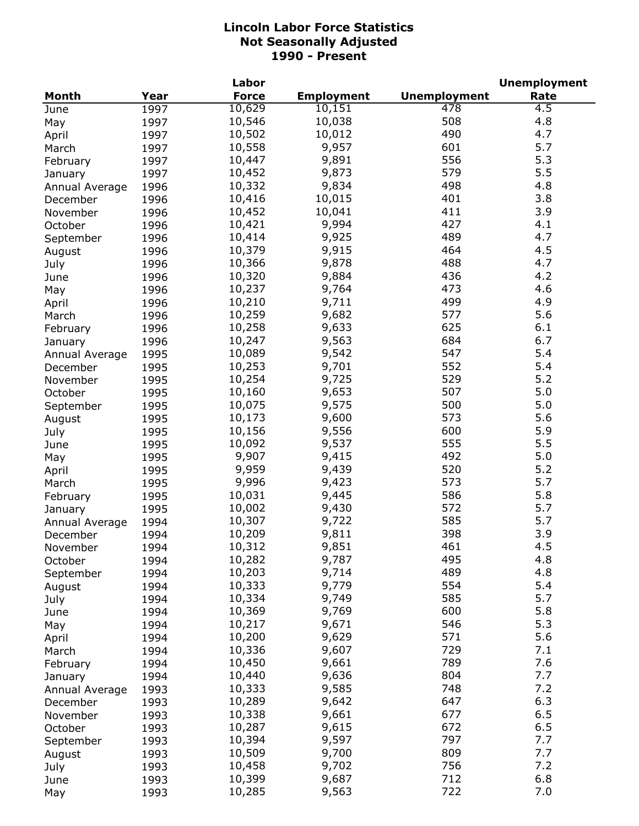|                |      | Labor        |                   |                     | <b>Unemployment</b> |
|----------------|------|--------------|-------------------|---------------------|---------------------|
| <b>Month</b>   | Year | <b>Force</b> | <b>Employment</b> | <b>Unemployment</b> | Rate                |
| June           | 1997 | 10,629       | 10,151            | 478                 | 4.5                 |
| May            | 1997 | 10,546       | 10,038            | 508                 | 4.8                 |
| April          | 1997 | 10,502       | 10,012            | 490                 | 4.7                 |
| March          | 1997 | 10,558       | 9,957             | 601                 | 5.7                 |
| February       | 1997 | 10,447       | 9,891             | 556                 | 5.3                 |
| January        | 1997 | 10,452       | 9,873             | 579                 | 5.5                 |
| Annual Average | 1996 | 10,332       | 9,834             | 498                 | 4.8                 |
| December       | 1996 | 10,416       | 10,015            | 401                 | 3.8                 |
| November       | 1996 | 10,452       | 10,041            | 411                 | 3.9                 |
| October        | 1996 | 10,421       | 9,994             | 427                 | 4.1                 |
| September      | 1996 | 10,414       | 9,925             | 489                 | 4.7                 |
| August         | 1996 | 10,379       | 9,915             | 464                 | 4.5                 |
| July           | 1996 | 10,366       | 9,878             | 488                 | 4.7                 |
| June           | 1996 | 10,320       | 9,884             | 436                 | 4.2                 |
| May            | 1996 | 10,237       | 9,764             | 473                 | 4.6                 |
| April          | 1996 | 10,210       | 9,711             | 499                 | 4.9                 |
|                | 1996 | 10,259       | 9,682             | 577                 | 5.6                 |
| March          |      | 10,258       | 9,633             | 625                 | 6.1                 |
| February       | 1996 | 10,247       | 9,563             | 684                 | 6.7                 |
| January        | 1996 |              |                   | 547                 | 5.4                 |
| Annual Average | 1995 | 10,089       | 9,542             |                     |                     |
| December       | 1995 | 10,253       | 9,701             | 552                 | 5.4                 |
| November       | 1995 | 10,254       | 9,725             | 529                 | 5.2                 |
| October        | 1995 | 10,160       | 9,653             | 507                 | 5.0                 |
| September      | 1995 | 10,075       | 9,575             | 500                 | 5.0                 |
| August         | 1995 | 10,173       | 9,600             | 573                 | 5.6                 |
| July           | 1995 | 10,156       | 9,556             | 600                 | 5.9                 |
| June           | 1995 | 10,092       | 9,537             | 555                 | 5.5                 |
| May            | 1995 | 9,907        | 9,415             | 492                 | 5.0                 |
| April          | 1995 | 9,959        | 9,439             | 520                 | 5.2                 |
| March          | 1995 | 9,996        | 9,423             | 573                 | 5.7                 |
| February       | 1995 | 10,031       | 9,445             | 586                 | 5.8                 |
| January        | 1995 | 10,002       | 9,430             | 572                 | 5.7                 |
| Annual Average | 1994 | 10,307       | 9,722             | 585                 | 5.7                 |
| December       | 1994 | 10,209       | 9,811             | 398                 | 3.9                 |
| November       | 1994 | 10,312       | 9,851             | 461                 | 4.5                 |
| October        | 1994 | 10,282       | 9,787             | 495                 | 4.8                 |
| September      | 1994 | 10,203       | 9,714             | 489                 | 4.8                 |
| August         | 1994 | 10,333       | 9,779             | 554                 | 5.4                 |
| July           | 1994 | 10,334       | 9,749             | 585                 | 5.7                 |
| June           | 1994 | 10,369       | 9,769             | 600                 | 5.8                 |
| May            | 1994 | 10,217       | 9,671             | 546                 | 5.3                 |
| April          | 1994 | 10,200       | 9,629             | 571                 | 5.6                 |
| March          | 1994 | 10,336       | 9,607             | 729                 | 7.1                 |
| February       | 1994 | 10,450       | 9,661             | 789                 | 7.6                 |
| January        | 1994 | 10,440       | 9,636             | 804                 | 7.7                 |
| Annual Average | 1993 | 10,333       | 9,585             | 748                 | 7.2                 |
| December       | 1993 | 10,289       | 9,642             | 647                 | 6.3                 |
| November       | 1993 | 10,338       | 9,661             | 677                 | 6.5                 |
| October        | 1993 | 10,287       | 9,615             | 672                 | 6.5                 |
| September      | 1993 | 10,394       | 9,597             | 797                 | 7.7                 |
| August         | 1993 | 10,509       | 9,700             | 809                 | 7.7                 |
| July           | 1993 | 10,458       | 9,702             | 756                 | 7.2                 |
| June           | 1993 | 10,399       | 9,687             | 712                 | 6.8                 |
| May            | 1993 | 10,285       | 9,563             | 722                 | 7.0                 |